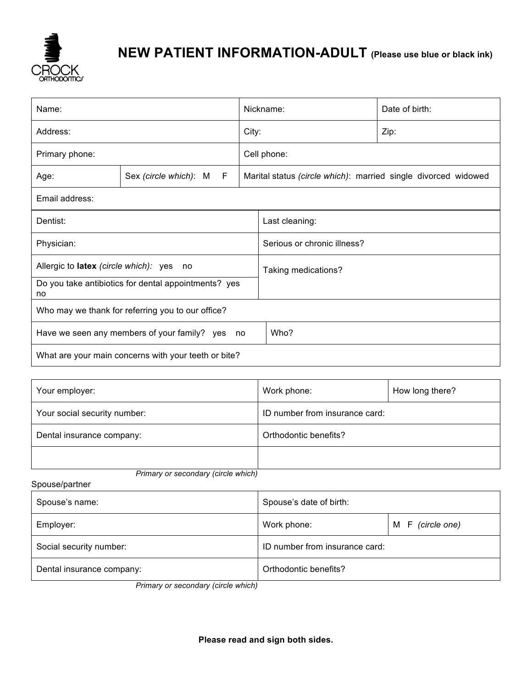

## **NEW PATIENT INFORMATION-ADULT (Please use blue or black ink)**

| Name:                                                      |                              | Nickname:   |                                                                | Date of birth: |  |  |
|------------------------------------------------------------|------------------------------|-------------|----------------------------------------------------------------|----------------|--|--|
| Address:                                                   |                              | City:       |                                                                | Zip:           |  |  |
| Primary phone:                                             |                              | Cell phone: |                                                                |                |  |  |
| Age:                                                       | Sex (circle which): M<br>- F |             | Marital status (circle which): married single divorced widowed |                |  |  |
| Email address:                                             |                              |             |                                                                |                |  |  |
| Dentist:                                                   |                              |             | Last cleaning:                                                 |                |  |  |
| Physician:                                                 |                              |             | Serious or chronic illness?                                    |                |  |  |
| Allergic to latex (circle which): yes no                   |                              |             | Taking medications?                                            |                |  |  |
| Do you take antibiotics for dental appointments? yes<br>no |                              |             |                                                                |                |  |  |
| Who may we thank for referring you to our office?          |                              |             |                                                                |                |  |  |
| Have we seen any members of your family? yes<br>no         |                              |             | Who?                                                           |                |  |  |
| What are your main concerns with your teeth or bite?       |                              |             |                                                                |                |  |  |

| Your employer:                      | Work phone:                    | How long there? |  |  |
|-------------------------------------|--------------------------------|-----------------|--|--|
| Your social security number:        | ID number from insurance card: |                 |  |  |
| Dental insurance company:           | Orthodontic benefits?          |                 |  |  |
|                                     |                                |                 |  |  |
| Primary or secondary (circle which) |                                |                 |  |  |

Spouse/partner

| Spouse's name:            | Spouse's date of birth:        |                     |  |
|---------------------------|--------------------------------|---------------------|--|
| Employer:                 | Work phone:                    | F (circle one)<br>M |  |
| Social security number:   | ID number from insurance card: |                     |  |
| Dental insurance company: | Orthodontic benefits?          |                     |  |

 *Primary or secondary (circle which)*

**Please read and sign both sides.**